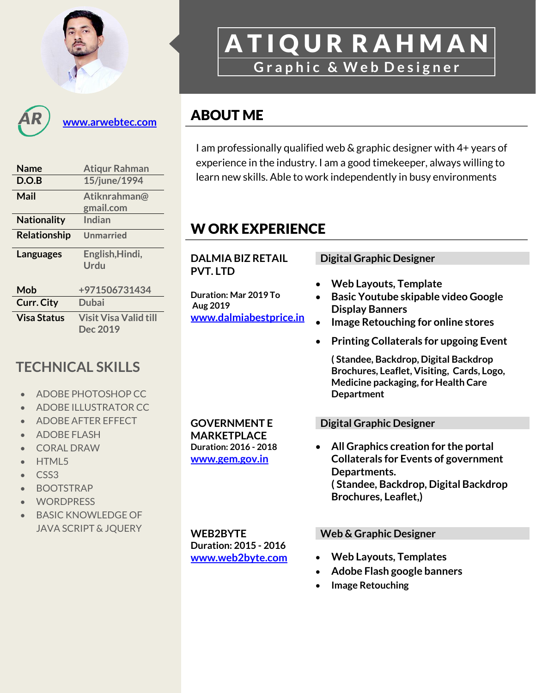

**[www.arwebtec.com](http://www.arwebtec.com/)**

| <b>Name</b>         | <b>Atiqur Rahman</b>         |  |  |  |
|---------------------|------------------------------|--|--|--|
| D.O.B               | 15/june/1994                 |  |  |  |
| Mail                | Atiknrahman@                 |  |  |  |
|                     | gmail.com                    |  |  |  |
| <b>Nationality</b>  | Indian                       |  |  |  |
| <b>Relationship</b> | <b>Unmarried</b>             |  |  |  |
| Languages           | English, Hindi,<br>Urdu      |  |  |  |
| Mob                 | +971506731434                |  |  |  |
| <b>Curr. City</b>   | Dubai                        |  |  |  |
| <b>Visa Status</b>  | <b>Visit Visa Valid till</b> |  |  |  |
|                     | Dec 2019                     |  |  |  |

# **TECHNICAL SKILLS**

- ADOBE PHOTOSHOP CC
- ADOBE ILLUSTRATOR CC
- ADOBE AFTER EFFECT
- ADOBE FLASH
- CORAL DRAW
- HTML5
- CSS3
- BOOTSTRAP
- **WORDPRESS**
- BASIC KNOWLEDGE OF JAVA SCRIPT & JQUERY

**GOVERNMENT E MARKETPLACE Duration: 2016 - 2018 [www.gem.gov.in](http://www.gem.gov.in/)**

# A T I Q U R R A H M A N **G r a p h i c & W e b D e s i g n e r**

## ABOUT ME

I am professionally qualified web & graphic designer with 4+ years of experience in the industry. I am a good timekeeper, always willing to learn new skills. Able to work independently in busy environments

# W ORK EXPERIENCE

**DALMIA BIZ RETAIL**

**PVT. LTD**

**Aug 2019**

### **Duration: Mar 2019 To [www.dalmiabestprice.in](http://www.dalmiabestprice.in/) Digital Graphic Designer Web Layouts, Template Basic Youtube skipable video Google Display Banners Image Retouching for online stores Printing Collaterals for upgoing Event ( Standee, Backdrop, Digital Backdrop Brochures, Leaflet, Visiting, Cards, Logo, Medicine packaging, for Health Care Department Digital Graphic Designer All Graphics creation for the portal**

**Collaterals for Events of government Departments. ( Standee, Backdrop, Digital Backdrop Brochures, Leaflet,)**

**WEB2BYTE Duration: 2015 - 2016 [www.web2byte.com](http://www.web2byte.com/)**

#### **Web & Graphic Designer**

- **Web Layouts, Templates**
- **Adobe Flash google banners**
- **Image Retouching**